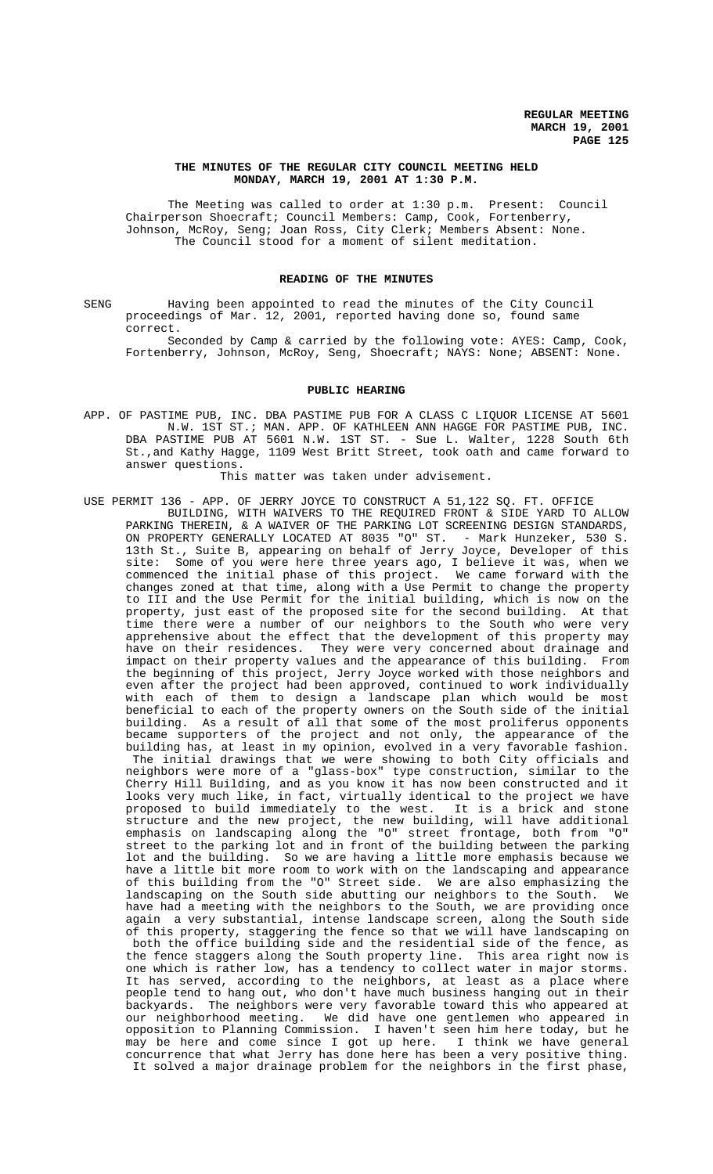## **THE MINUTES OF THE REGULAR CITY COUNCIL MEETING HELD MONDAY, MARCH 19, 2001 AT 1:30 P.M.**

The Meeting was called to order at 1:30 p.m. Present: Council Chairperson Shoecraft; Council Members: Camp, Cook, Fortenberry, Johnson, McRoy, Seng; Joan Ross, City Clerk; Members Absent: None. The Council stood for a moment of silent meditation.

## **READING OF THE MINUTES**

SENG Having been appointed to read the minutes of the City Council proceedings of Mar. 12, 2001, reported having done so, found same correct.

Seconded by Camp & carried by the following vote: AYES: Camp, Cook, Fortenberry, Johnson, McRoy, Seng, Shoecraft; NAYS: None; ABSENT: None.

### **PUBLIC HEARING**

APP. OF PASTIME PUB, INC. DBA PASTIME PUB FOR A CLASS C LIQUOR LICENSE AT 5601 N.W. 1ST ST.; MAN. APP. OF KATHLEEN ANN HAGGE FOR PASTIME PUB, INC. DBA PASTIME PUB AT 5601 N.W. 1ST ST. - Sue L. Walter, 1228 South 6th St.,and Kathy Hagge, 1109 West Britt Street, took oath and came forward to answer questions.

This matter was taken under advisement.

USE PERMIT 136 - APP. OF JERRY JOYCE TO CONSTRUCT A 51,122 SQ. FT. OFFICE BUILDING, WITH WAIVERS TO THE REQUIRED FRONT & SIDE YARD TO ALLOW PARKING THEREIN, & A WAIVER OF THE PARKING LOT SCREENING DESIGN STANDARDS, ON PROPERTY GENERALLY LOCATED AT 8035 "O" ST. - Mark Hunzeker, 530 S. 13th St., Suite B, appearing on behalf of Jerry Joyce, Developer of this site: Some of you were here three years ago, I believe it was, when we commenced the initial phase of this project. We came forward with the changes zoned at that time, along with a Use Permit to change the property to III and the Use Permit for the initial building, which is now on the property, just east of the proposed site for the second building. At that time there were a number of our neighbors to the South who were very apprehensive about the effect that the development of this property may have on their residences. They were very concerned about drainage and impact on their property values and the appearance of this building. From the beginning of this project, Jerry Joyce worked with those neighbors and even after the project had been approved, continued to work individually with each of them to design a landscape plan which would be most beneficial to each of the property owners on the South side of the initial building. As a result of all that some of the most proliferus opponents became supporters of the project and not only, the appearance of the building has, at least in my opinion, evolved in a very favorable fashion. The initial drawings that we were showing to both City officials and neighbors were more of a "glass-box" type construction, similar to the Cherry Hill Building, and as you know it has now been constructed and it looks very much like, in fact, virtually identical to the project we have proposed to build immediately to the west. It is a brick and stone proposed to build immediately to the west. structure and the new project, the new building, will have additional emphasis on landscaping along the "O" street frontage, both from "O" street to the parking lot and in front of the building between the parking lot and the building. So we are having a little more emphasis because we have a little bit more room to work with on the landscaping and appearance of this building from the "O" Street side. We are also emphasizing the landscaping on the South side abutting our neighbors to the South. We have had a meeting with the neighbors to the South, we are providing once again a very substantial, intense landscape screen, along the South side of this property, staggering the fence so that we will have landscaping on both the office building side and the residential side of the fence, as the fence staggers along the South property line. This area right now is one which is rather low, has a tendency to collect water in major storms. It has served, according to the neighbors, at least as a place where people tend to hang out, who don't have much business hanging out in their backyards. The neighbors were very favorable toward this who appeared at our neighborhood meeting. We did have one gentlemen who appeared in opposition to Planning Commission. I haven't seen him here today, but he may be here and come since I got up here. I think we have general concurrence that what Jerry has done here has been a very positive thing. It solved a major drainage problem for the neighbors in the first phase,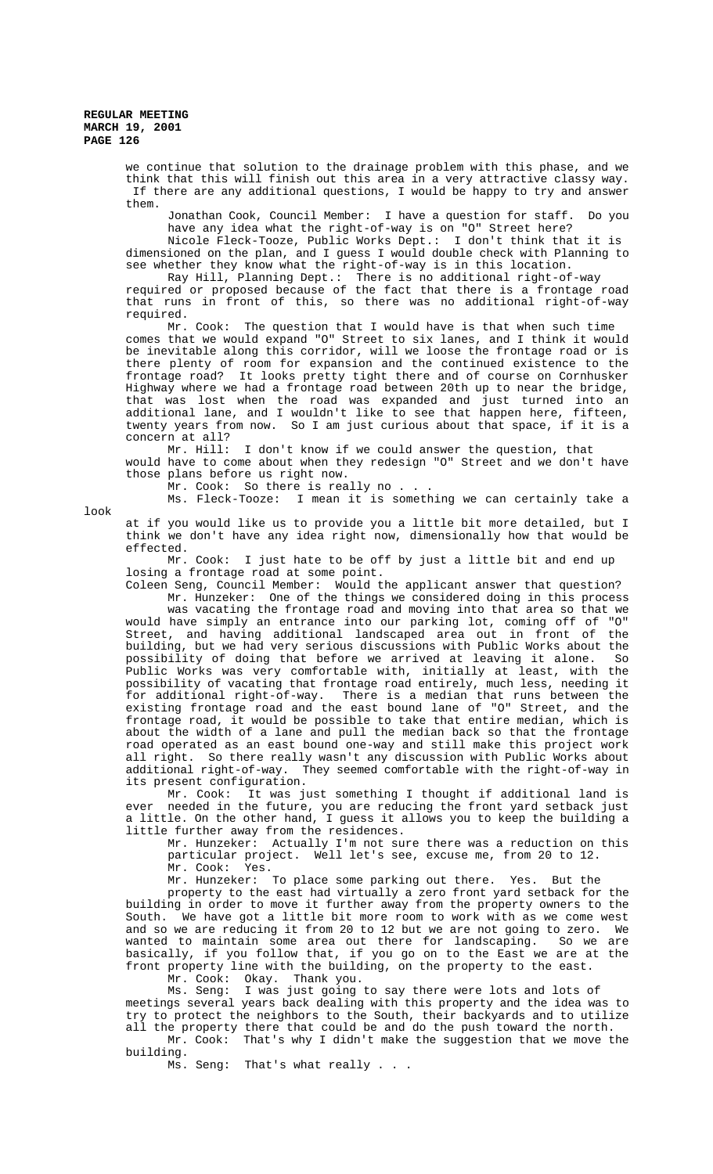we continue that solution to the drainage problem with this phase, and we think that this will finish out this area in a very attractive classy way. If there are any additional questions, I would be happy to try and answer them.

Jonathan Cook, Council Member: I have a question for staff. Do you have any idea what the right-of-way is on "O" Street here?

Nicole Fleck-Tooze, Public Works Dept.: I don't think that it is dimensioned on the plan, and I guess I would double check with Planning to see whether they know what the right-of-way is in this location.

Ray Hill, Planning Dept.: There is no additional right-of-way

required or proposed because of the fact that there is a frontage road that runs in front of this, so there was no additional right-of-way required.

Mr. Cook: The question that I would have is that when such time comes that we would expand "O" Street to six lanes, and I think it would be inevitable along this corridor, will we loose the frontage road or is there plenty of room for expansion and the continued existence to the frontage road? It looks pretty tight there and of course on Cornhusker Highway where we had a frontage road between 20th up to near the bridge, that was lost when the road was expanded and just turned into an additional lane, and I wouldn't like to see that happen here, fifteen, twenty years from now. So I am just curious about that space, if it is a concern at all?<br>Mr. Hill:

I don't know if we could answer the question, that would have to come about when they redesign "O" Street and we don't have those plans before us right now.

Mr. Cook: So there is really no . . .

Ms. Fleck-Tooze: I mean it is something we can certainly take a

look

at if you would like us to provide you a little bit more detailed, but I think we don't have any idea right now, dimensionally how that would be effected.

Mr. Cook: I just hate to be off by just a little bit and end up losing a frontage road at some point.

Coleen Seng, Council Member: Would the applicant answer that question? Mr. Hunzeker: One of the things we considered doing in this process

was vacating the frontage road and moving into that area so that we would have simply an entrance into our parking lot, coming off of "O" Street, and having additional landscaped area out in front of the building, but we had very serious discussions with Public Works about the possibility of doing that before we arrived at leaving it alone. So Public Works was very comfortable with, initially at least, with the possibility of vacating that frontage road entirely, much less, needing it for additional right-of-way. There is a median that runs between the existing frontage road and the east bound lane of "O" Street, and the frontage road, it would be possible to take that entire median, which is about the width of a lane and pull the median back so that the frontage road operated as an east bound one-way and still make this project work all right. So there really wasn't any discussion with Public Works about additional right-of-way. They seemed comfortable with the right-of-way in its present configuration.

Mr. Cook: It was just something I thought if additional land is ever needed in the future, you are reducing the front yard setback just a little. On the other hand, I guess it allows you to keep the building a little further away from the residences.

Mr. Hunzeker: Actually I'm not sure there was a reduction on this particular project. Well let's see, excuse me, from 20 to 12. Mr. Cook:

Mr. Hunzeker: To place some parking out there. Yes. But the

property to the east had virtually a zero front yard setback for the building in order to move it further away from the property owners to the South. We have got a little bit more room to work with as we come west and so we are reducing it from 20 to 12 but we are not going to zero. We wanted to maintain some area out there for landscaping. So we are basically, if you follow that, if you go on to the East we are at the front property line with the building, on the property to the east.

Mr. Cook: Okay. Thank you.

Ms. Seng: I was just going to say there were lots and lots of meetings several years back dealing with this property and the idea was to try to protect the neighbors to the South, their backyards and to utilize all the property there that could be and do the push toward the north.

 Mr. Cook: That's why I didn't make the suggestion that we move the building.

Ms. Seng: That's what really . . .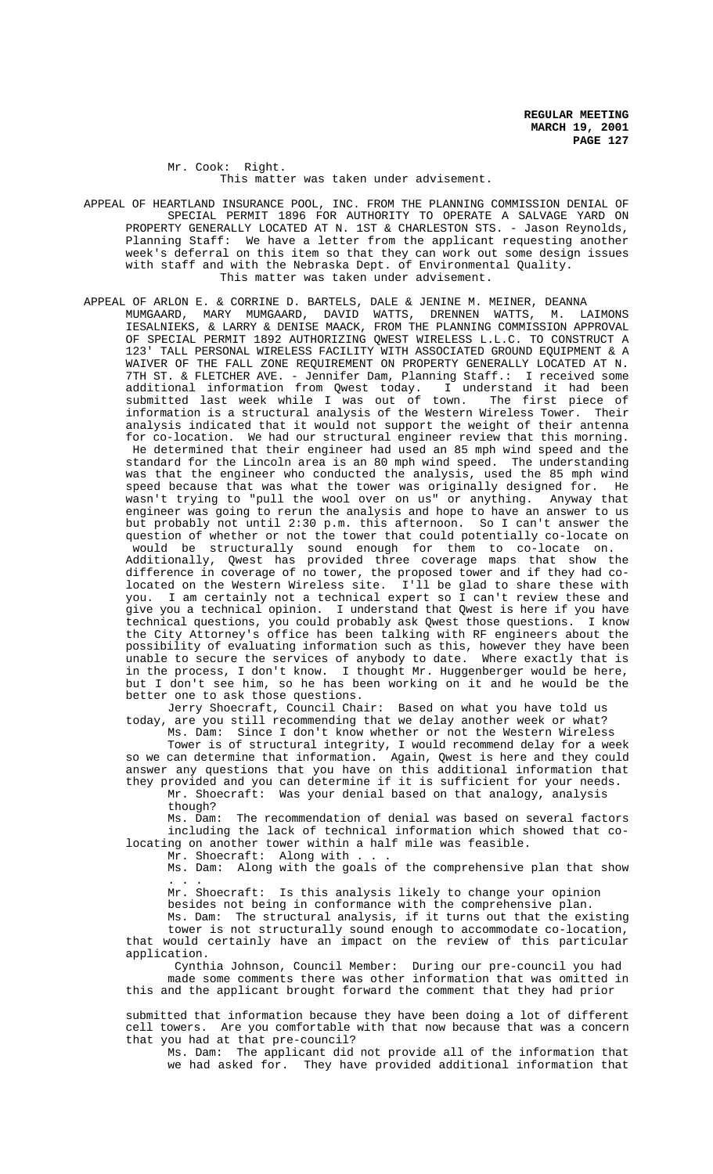Mr. Cook: Right. This matter was taken under advisement.

- APPEAL OF HEARTLAND INSURANCE POOL, INC. FROM THE PLANNING COMMISSION DENIAL OF SPECIAL PERMIT 1896 FOR AUTHORITY TO OPERATE A SALVAGE YARD ON PROPERTY GENERALLY LOCATED AT N. 1ST & CHARLESTON STS. - Jason Reynolds, Planning Staff: We have a letter from the applicant requesting another week's deferral on this item so that they can work out some design issues with staff and with the Nebraska Dept. of Environmental Quality. This matter was taken under advisement.
- APPEAL OF ARLON E. & CORRINE D. BARTELS, DALE & JENINE M. MEINER, DEANNA MUMGAARD, MARY MUMGAARD, DAVID WATTS, DRENNEN WATTS, M. LAIMONS IESALNIEKS, & LARRY & DENISE MAACK, FROM THE PLANNING COMMISSION APPROVAL OF SPECIAL PERMIT 1892 AUTHORIZING QWEST WIRELESS L.L.C. TO CONSTRUCT A 123' TALL PERSONAL WIRELESS FACILITY WITH ASSOCIATED GROUND EQUIPMENT & A WAIVER OF THE FALL ZONE REQUIREMENT ON PROPERTY GENERALLY LOCATED AT N. 7TH ST. & FLETCHER AVE. - Jennifer Dam, Planning Staff.: I received some additional information from Qwest today. I understand it had been submitted last week while I was out of town. The first piece of information is a structural analysis of the Western Wireless Tower. Their analysis indicated that it would not support the weight of their antenna for co-location. We had our structural engineer review that this morning.

 He determined that their engineer had used an 85 mph wind speed and the standard for the Lincoln area is an 80 mph wind speed. The understanding was that the engineer who conducted the analysis, used the 85 mph wind speed because that was what the tower was originally designed for. He wasn't trying to "pull the wool over on us" or anything. Anyway that engineer was going to rerun the analysis and hope to have an answer to us but probably not until 2:30 p.m. this afternoon. So I can't answer the question of whether or not the tower that could potentially co-locate on

 would be structurally sound enough for them to co-locate on. Additionally, Qwest has provided three coverage maps that show the difference in coverage of no tower, the proposed tower and if they had colocated on the Western Wireless site. I'll be glad to share these with you. I am certainly not a technical expert so I can't review these and give you a technical opinion. I understand that Qwest is here if you have technical questions, you could probably ask Qwest those questions. I know the City Attorney's office has been talking with RF engineers about the possibility of evaluating information such as this, however they have been unable to secure the services of anybody to date. Where exactly that is in the process, I don't know. I thought Mr. Huggenberger would be here, but I don't see him, so he has been working on it and he would be the better one to ask those questions.

Jerry Shoecraft, Council Chair: Based on what you have told us today, are you still recommending that we delay another week or what?

Ms. Dam: Since I don't know whether or not the Western Wireless Tower is of structural integrity, I would recommend delay for a week so we can determine that information. Again, Qwest is here and they could answer any questions that you have on this additional information that they provided and you can determine if it is sufficient for your needs.

# Mr. Shoecraft: Was your denial based on that analogy, analysis though?

Ms. Dam: The recommendation of denial was based on several factors including the lack of technical information which showed that colocating on another tower within a half mile was feasible.

Mr. Shoecraft: Along with .

Ms. Dam: Along with the goals of the comprehensive plan that show . . .

Mr. Shoecraft: Is this analysis likely to change your opinion

besides not being in conformance with the comprehensive plan.

Ms. Dam: The structural analysis, if it turns out that the existing tower is not structurally sound enough to accommodate co-location, that would certainly have an impact on the review of this particular application.

 Cynthia Johnson, Council Member: During our pre-council you had made some comments there was other information that was omitted in this and the applicant brought forward the comment that they had prior

submitted that information because they have been doing a lot of different cell towers. Are you comfortable with that now because that was a concern that you had at that pre-council?

Ms. Dam: The applicant did not provide all of the information that we had asked for. They have provided additional information that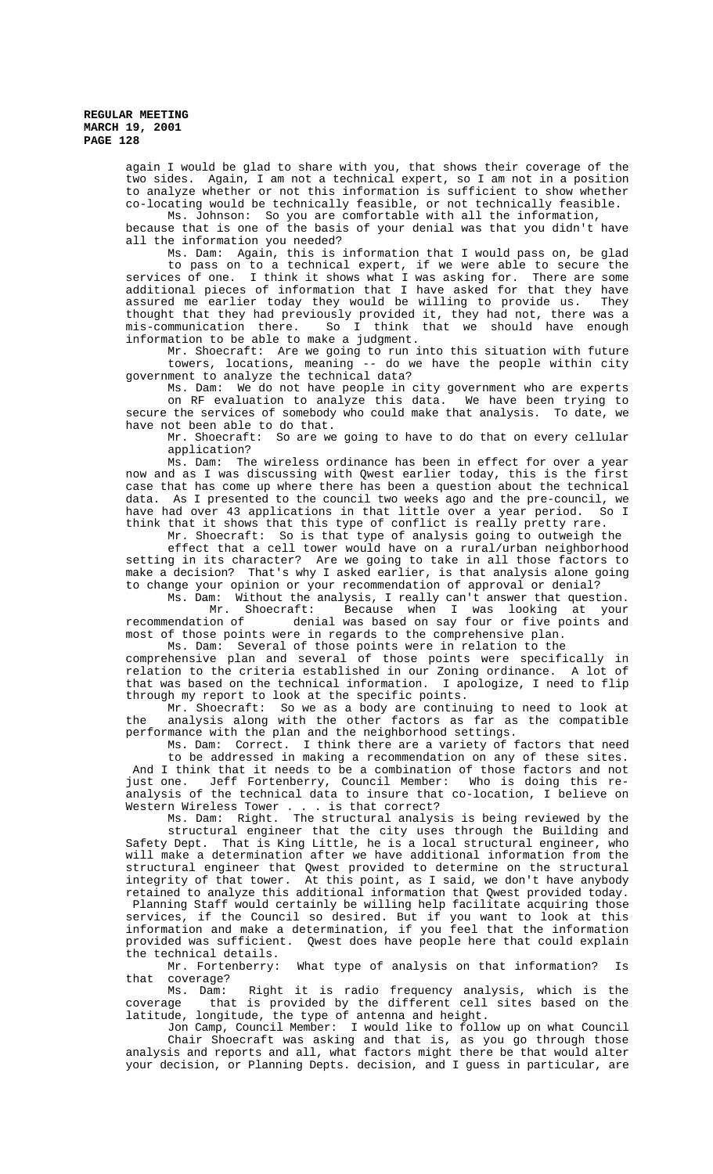again I would be glad to share with you, that shows their coverage of the two sides. Again, I am not a technical expert, so I am not in a position to analyze whether or not this information is sufficient to show whether co-locating would be technically feasible, or not technically feasible.

Ms. Johnson: So you are comfortable with all the information, because that is one of the basis of your denial was that you didn't have all the information you needed?

Ms. Dam: Again, this is information that I would pass on, be glad to pass on to a technical expert, if we were able to secure the services of one. I think it shows what I was asking for. There are some additional pieces of information that I have asked for that they have assured me earlier today they would be willing to provide us. They thought that they had previously provided it, they had not, there was a mis-communication there. So I think that we should have enough information to be able to make a judgment.

Mr. Shoecraft: Are we going to run into this situation with future towers, locations, meaning -- do we have the people within city government to analyze the technical data?

Ms. Dam: We do not have people in city government who are experts on RF evaluation to analyze this data. We have been trying to secure the services of somebody who could make that analysis. To date, we have not been able to do that.

Mr. Shoecraft: So are we going to have to do that on every cellular application?

Ms. Dam: The wireless ordinance has been in effect for over a year now and as I was discussing with Qwest earlier today, this is the first case that has come up where there has been a question about the technical data. As I presented to the council two weeks ago and the pre-council, we have had over 43 applications in that little over a year period. So I think that it shows that this type of conflict is really pretty rare.

Mr. Shoecraft: So is that type of analysis going to outweigh the effect that a cell tower would have on a rural/urban neighborhood setting in its character? Are we going to take in all those factors to make a decision? That's why I asked earlier, is that analysis alone going to change your opinion or your recommendation of approval or denial?

Ms. Dam: Without the analysis, I really can't answer that question.<br>Mr. Shoecraft: Because when I was looking at your Mr. Shoecraft: Because when I was looking at your<br>recommendation of denial was based on say four or five points and denial was based on say four or five points and most of those points were in regards to the comprehensive plan.

Ms. Dam: Several of those points were in relation to the

comprehensive plan and several of those points were specifically in relation to the criteria established in our Zoning ordinance. A lot of that was based on the technical information. I apologize, I need to flip through my report to look at the specific points.

Mr. Shoecraft: So we as a body are continuing to need to look at the analysis along with the other factors as far as the compatible performance with the plan and the neighborhood settings.

Ms. Dam: Correct. I think there are a variety of factors that need to be addressed in making a recommendation on any of these sites. And I think that it needs to be a combination of those factors and not<br>just one. Jeff Fortenberry, Council Member: Who is doing this rejust one. Jeff Fortenberry, Council Member: analysis of the technical data to insure that co-location, I believe on Western Wireless Tower . . . is that correct?

Ms. Dam: Right. The structural analysis is being reviewed by the structural engineer that the city uses through the Building and Safety Dept. That is King Little, he is a local structural engineer, who will make a determination after we have additional information from the structural engineer that Qwest provided to determine on the structural integrity of that tower. At this point, as I said, we don't have anybody retained to analyze this additional information that Qwest provided today. Planning Staff would certainly be willing help facilitate acquiring those services, if the Council so desired. But if you want to look at this information and make a determination, if you feel that the information provided was sufficient. Qwest does have people here that could explain

the technical details.<br>Mr. Fortenberry: What type of analysis on that information? Is that coverage?

Ms. Dam: Right it is radio frequency analysis, which is the coverage that is provided by the different cell sites based on the latitude, longitude, the type of antenna and height.

Jon Camp, Council Member: I would like to follow up on what Council Chair Shoecraft was asking and that is, as you go through those analysis and reports and all, what factors might there be that would alter your decision, or Planning Depts. decision, and I guess in particular, are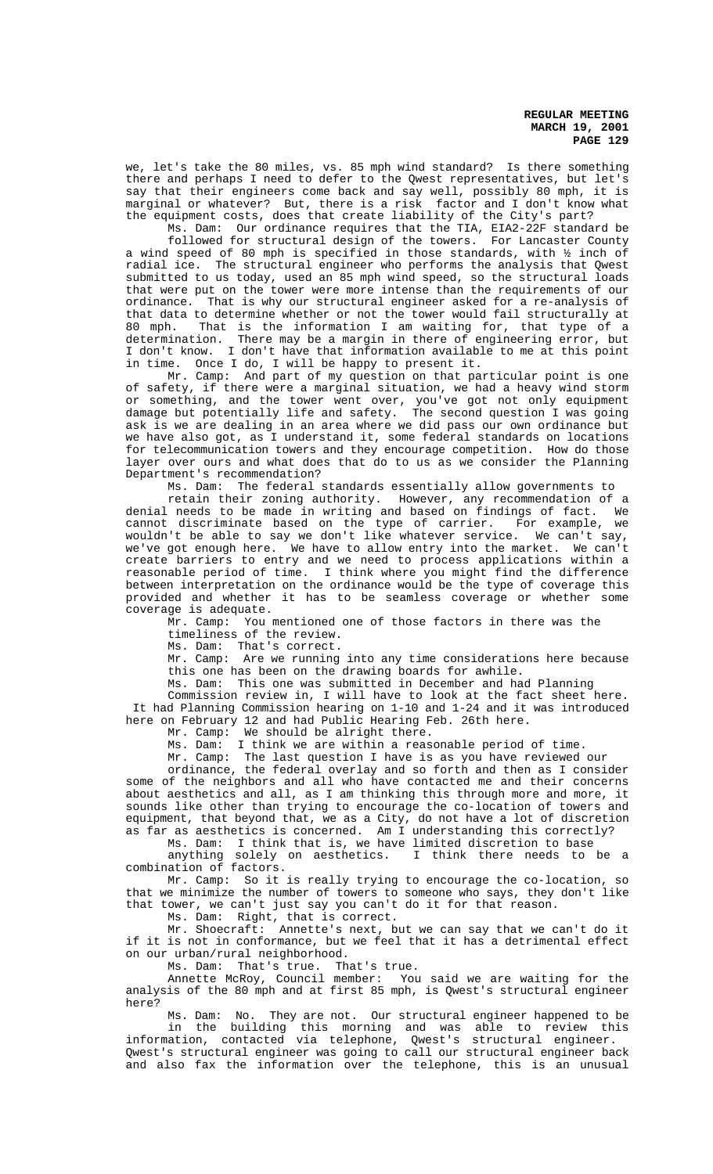we, let's take the 80 miles, vs. 85 mph wind standard? Is there something there and perhaps I need to defer to the Qwest representatives, but let's say that their engineers come back and say well, possibly 80 mph, it is marginal or whatever? But, there is a risk factor and I don't know what the equipment costs, does that create liability of the City's part?

Ms. Dam: Our ordinance requires that the TIA, EIA2-22F standard be followed for structural design of the towers. For Lancaster County

a wind speed of 80 mph is specified in those standards, with ½ inch of radial ice. The structural engineer who performs the analysis that Qwest submitted to us today, used an 85 mph wind speed, so the structural loads that were put on the tower were more intense than the requirements of our ordinance. That is why our structural engineer asked for a re-analysis of that data to determine whether or not the tower would fail structurally at 80 mph. That is the information I am waiting for, that type of a determination. There may be a margin in there of engineering error, but I don't know. I don't have that information available to me at this point in time. Once I do, I will be happy to present it.

Mr. Camp: And part of my question on that particular point is one of safety, if there were a marginal situation, we had a heavy wind storm or something, and the tower went over, you've got not only equipment damage but potentially life and safety. The second question I was going ask is we are dealing in an area where we did pass our own ordinance but we have also got, as I understand it, some federal standards on locations for telecommunication towers and they encourage competition. How do those layer over ours and what does that do to us as we consider the Planning Department's recommendation?

Ms. Dam: The federal standards essentially allow governments to retain their zoning authority. However, any recommendation of a denial needs to be made in writing and based on findings of fact. We cannot discriminate based on the type of carrier. For example, we wouldn't be able to say we don't like whatever service. We can't say, we've got enough here. We have to allow entry into the market. We can't create barriers to entry and we need to process applications within a reasonable period of time. I think where you might find the difference between interpretation on the ordinance would be the type of coverage this provided and whether it has to be seamless coverage or whether some coverage is adequate.

Mr. Camp: You mentioned one of those factors in there was the timeliness of the review.

Ms. Dam: That's correct.

Mr. Camp: Are we running into any time considerations here because this one has been on the drawing boards for awhile.

Ms. Dam: This one was submitted in December and had Planning

Commission review in, I will have to look at the fact sheet here. It had Planning Commission hearing on 1-10 and 1-24 and it was introduced here on February 12 and had Public Hearing Feb. 26th here.

Mr. Camp: We should be alright there.

Ms. Dam: I think we are within a reasonable period of time.

Mr. Camp: The last question I have is as you have reviewed our

ordinance, the federal overlay and so forth and then as I consider some of the neighbors and all who have contacted me and their concerns about aesthetics and all, as I am thinking this through more and more, it sounds like other than trying to encourage the co-location of towers and equipment, that beyond that, we as a City, do not have a lot of discretion as far as aesthetics is concerned. Am I understanding this correctly?

Ms. Dam: I think that is, we have limited discretion to base

anything solely on aesthetics. I think there needs to be a combination of factors.

Mr. Camp: So it is really trying to encourage the co-location, so that we minimize the number of towers to someone who says, they don't like that tower, we can't just say you can't do it for that reason.

Ms. Dam: Right, that is correct.

Mr. Shoecraft: Annette's next, but we can say that we can't do it if it is not in conformance, but we feel that it has a detrimental effect on our urban/rural neighborhood.

Ms. Dam: That's true. That's true.

Annette McRoy, Council member: You said we are waiting for the analysis of the 80 mph and at first 85 mph, is Qwest's structural engineer here?

Ms. Dam: No. They are not. Our structural engineer happened to be in the building this morning and was able to review this information, contacted via telephone, Qwest's structural engineer. Qwest's structural engineer was going to call our structural engineer back

and also fax the information over the telephone, this is an unusual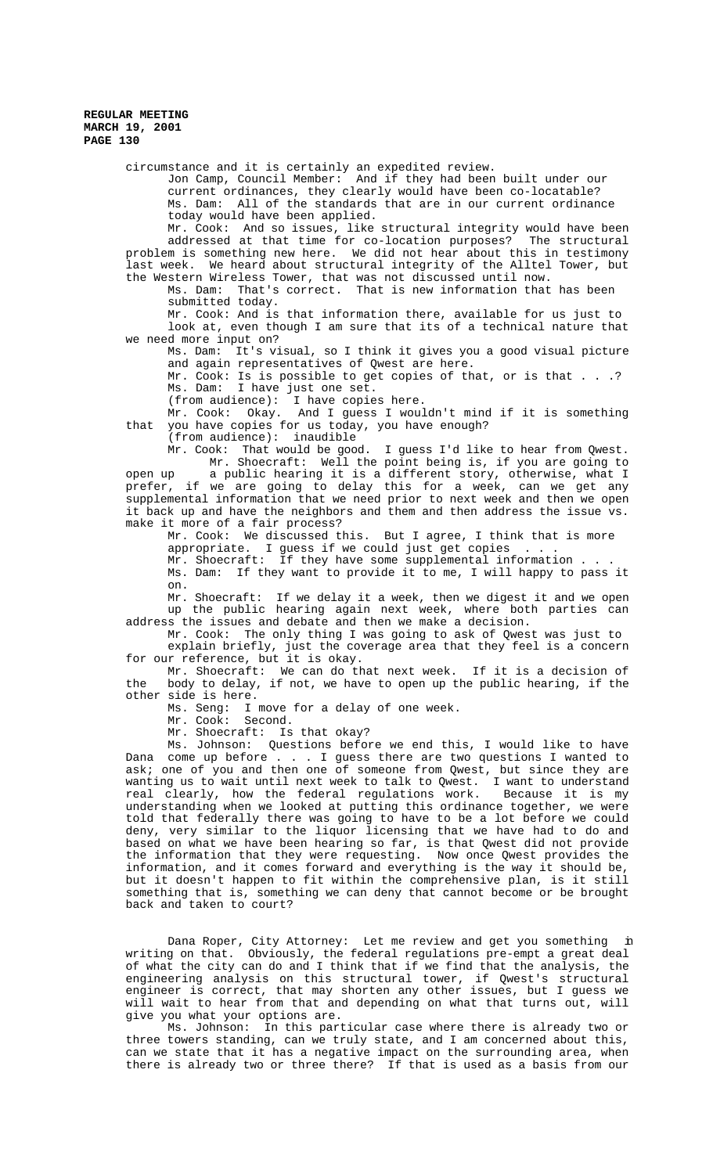circumstance and it is certainly an expedited review.

Jon Camp, Council Member: And if they had been built under our current ordinances, they clearly would have been co-locatable? Ms. Dam: All of the standards that are in our current ordinance today would have been applied.

Mr. Cook: And so issues, like structural integrity would have been addressed at that time for co-location purposes? The structural problem is something new here. We did not hear about this in testimony last week. We heard about structural integrity of the Alltel Tower, but the Western Wireless Tower, that was not discussed until now.

Ms. Dam: That's correct. That is new information that has been submitted today.

Mr. Cook: And is that information there, available for us just to look at, even though I am sure that its of a technical nature that we need more input on?

Ms. Dam: It's visual, so I think it gives you a good visual picture and again representatives of Qwest are here.

Mr. Cook: Is is possible to get copies of that, or is that . . .? Ms. Dam: I have just one set.

(from audience): I have copies here.

Mr. Cook: Okay. And I guess I wouldn't mind if it is something that you have copies for us today, you have enough?

(from audience): inaudible

Mr. Cook: That would be good. I guess I'd like to hear from Qwest. Mr. Shoecraft: Well the point being is, if you are going to open up a public hearing it is a different story, otherwise, what I prefer, if we are going to delay this for a week, can we get any supplemental information that we need prior to next week and then we open it back up and have the neighbors and them and then address the issue vs. make it more of a fair process?

Mr. Cook: We discussed this. But I agree, I think that is more appropriate. I guess if we could just get copies . . .

Mr. Shoecraft: If they have some supplemental information . . .

Ms. Dam: If they want to provide it to me, I will happy to pass it on.

Mr. Shoecraft: If we delay it a week, then we digest it and we open up the public hearing again next week, where both parties can address the issues and debate and then we make a decision.

Mr. Cook: The only thing I was going to ask of Qwest was just to explain briefly, just the coverage area that they feel is a concern for our reference, but it is okay.

Mr. Shoecraft: We can do that next week. If it is a decision of the body to delay, if not, we have to open up the public hearing, if the other side is here.

Ms. Seng: I move for a delay of one week.

Mr. Cook: Second.

Mr. Shoecraft: Is that okay?

Ms. Johnson: Questions before we end this, I would like to have Dana come up before . . . I guess there are two questions I wanted to ask; one of you and then one of someone from Qwest, but since they are wanting us to wait until next week to talk to Qwest. I want to understand<br>real clearly, how the federal regulations work. Because it is my real clearly, how the federal regulations work. understanding when we looked at putting this ordinance together, we were told that federally there was going to have to be a lot before we could deny, very similar to the liquor licensing that we have had to do and based on what we have been hearing so far, is that Qwest did not provide the information that they were requesting. Now once Qwest provides the information, and it comes forward and everything is the way it should be, but it doesn't happen to fit within the comprehensive plan, is it still something that is, something we can deny that cannot become or be brought back and taken to court?

Dana Roper, City Attorney: Let me review and get you something in writing on that. Obviously, the federal regulations pre-empt a great deal of what the city can do and I think that if we find that the analysis, the engineering analysis on this structural tower, if Qwest's structural engineer is correct, that may shorten any other issues, but I guess we will wait to hear from that and depending on what that turns out, will give you what your options are.

Ms. Johnson: In this particular case where there is already two or three towers standing, can we truly state, and I am concerned about this, can we state that it has a negative impact on the surrounding area, when there is already two or three there? If that is used as a basis from our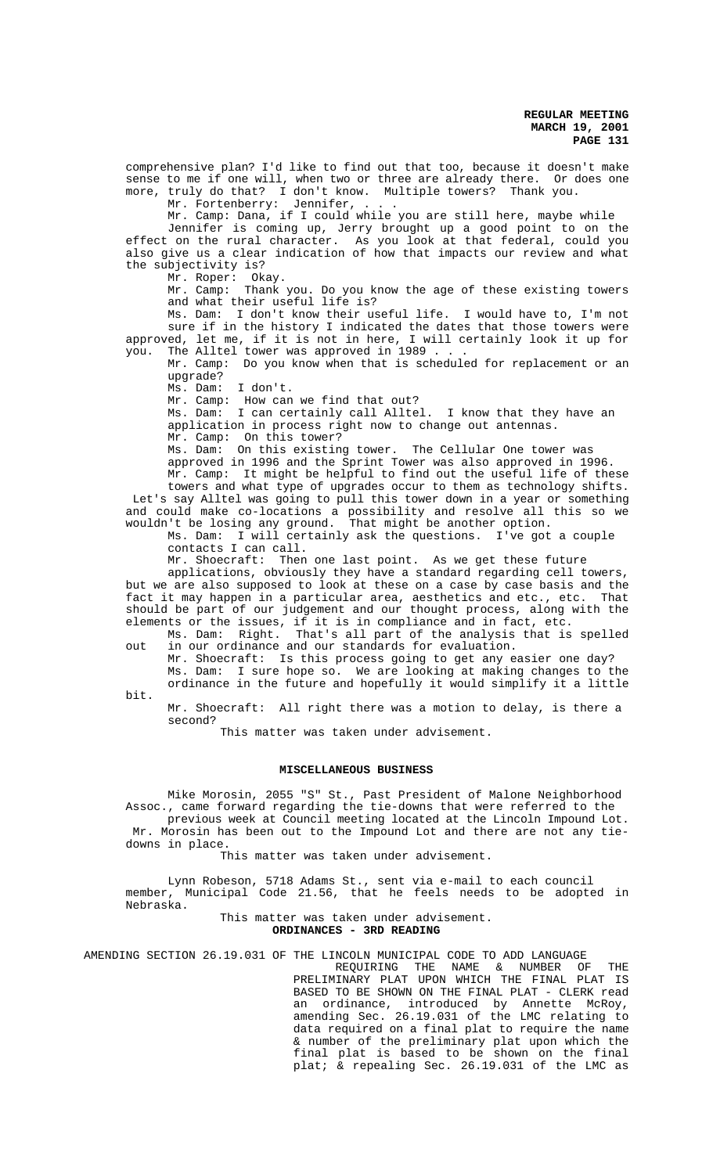comprehensive plan? I'd like to find out that too, because it doesn't make sense to me if one will, when two or three are already there. Or does one more, truly do that? I don't know. Multiple towers? Thank you.

Mr. Fortenberry: Jennifer,

Mr. Camp: Dana, if I could while you are still here, maybe while Jennifer is coming up, Jerry brought up a good point to on the effect on the rural character. As you look at that federal, could you also give us a clear indication of how that impacts our review and what the subjectivity is?

Mr. Roper: Okay.

Mr. Camp: Thank you. Do you know the age of these existing towers and what their useful life is?

Ms. Dam: I don't know their useful life. I would have to, I'm not sure if in the history I indicated the dates that those towers were approved, let me, if it is not in here, I will certainly look it up for you. The Alltel tower was approved in 1989 . . .

Mr. Camp: Do you know when that is scheduled for replacement or an upgrade?

Ms. Dam: I don't.

Mr. Camp: How can we find that out?

Ms. Dam: I can certainly call Alltel. I know that they have an application in process right now to change out antennas.

Mr. Camp: On this tower?

Ms. Dam: On this existing tower. The Cellular One tower was

approved in 1996 and the Sprint Tower was also approved in 1996. Mr. Camp: It might be helpful to find out the useful life of these towers and what type of upgrades occur to them as technology shifts. Let's say Alltel was going to pull this tower down in a year or something and could make co-locations a possibility and resolve all this so we wouldn't be losing any ground. That might be another option.

Ms. Dam: I will certainly ask the questions. I've got a couple contacts I can call.

Mr. Shoecraft: Then one last point. As we get these future

applications, obviously they have a standard regarding cell towers, but we are also supposed to look at these on a case by case basis and the fact it may happen in a particular area, aesthetics and etc., etc. That should be part of our judgement and our thought process, along with the elements or the issues, if it is in compliance and in fact, etc.

Ms. Dam: Right. That's all part of the analysis that is spelled out in our ordinance and our standards for evaluation.

Mr. Shoecraft: Is this process going to get any easier one day? Ms. Dam: I sure hope so. We are looking at making changes to the ordinance in the future and hopefully it would simplify it a little

bit.

Mr. Shoecraft: All right there was a motion to delay, is there a second?

This matter was taken under advisement.

## **MISCELLANEOUS BUSINESS**

Mike Morosin, 2055 "S" St., Past President of Malone Neighborhood Assoc., came forward regarding the tie-downs that were referred to the previous week at Council meeting located at the Lincoln Impound Lot.

 Mr. Morosin has been out to the Impound Lot and there are not any tiedowns in place.

This matter was taken under advisement.

Lynn Robeson, 5718 Adams St., sent via e-mail to each council member, Municipal Code 21.56, that he feels needs to be adopted in Nebraska.

## This matter was taken under advisement. **ORDINANCES - 3RD READING**

AMENDING SECTION 26.19.031 OF THE LINCOLN MUNICIPAL CODE TO ADD LANGUAGE

REQUIRING THE NAME & NUMBER OF THE PRELIMINARY PLAT UPON WHICH THE FINAL PLAT IS BASED TO BE SHOWN ON THE FINAL PLAT - CLERK read an ordinance, introduced by Annette McRoy, amending Sec. 26.19.031 of the LMC relating to data required on a final plat to require the name & number of the preliminary plat upon which the final plat is based to be shown on the final plat; & repealing Sec. 26.19.031 of the LMC as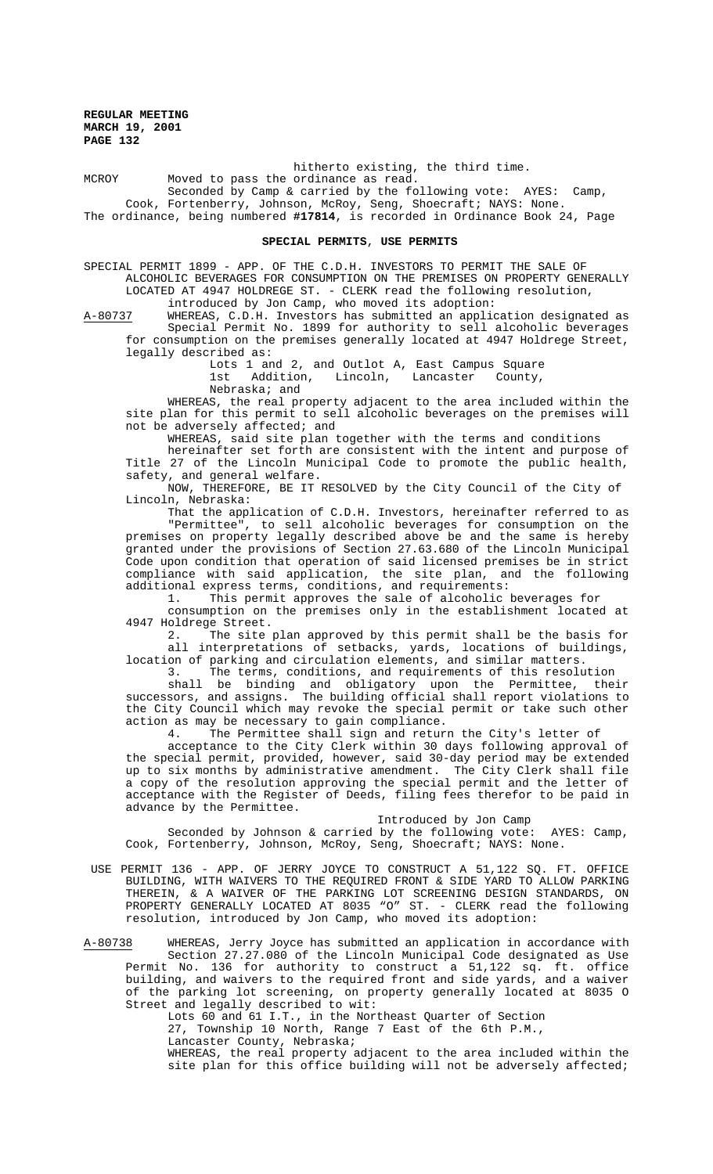hitherto existing, the third time. MCROY Moved to pass the ordinance as read. Seconded by Camp & carried by the following vote: AYES: Camp, Cook, Fortenberry, Johnson, McRoy, Seng, Shoecraft; NAYS: None. The ordinance, being numbered **#17814**, is recorded in Ordinance Book 24, Page

### **SPECIAL PERMITS**, **USE PERMITS**

SPECIAL PERMIT 1899 - APP. OF THE C.D.H. INVESTORS TO PERMIT THE SALE OF ALCOHOLIC BEVERAGES FOR CONSUMPTION ON THE PREMISES ON PROPERTY GENERALLY LOCATED AT 4947 HOLDREGE ST. - CLERK read the following resolution, introduced by Jon Camp, who moved its adoption:

A-80737 WHEREAS, C.D.H. Investors has submitted an application designated as Special Permit No. 1899 for authority to sell alcoholic beverages for consumption on the premises generally located at 4947 Holdrege Street, legally described as:

Lots 1 and 2, and Outlot A, East Campus Square

1st Addition, Lincoln, Lancaster County,

Nebraska; and

WHEREAS, the real property adjacent to the area included within the site plan for this permit to sell alcoholic beverages on the premises will not be adversely affected; and

WHEREAS, said site plan together with the terms and conditions

hereinafter set forth are consistent with the intent and purpose of Title 27 of the Lincoln Municipal Code to promote the public health, safety, and general welfare.

NOW, THEREFORE, BE IT RESOLVED by the City Council of the City of Lincoln, Nebraska:

That the application of C.D.H. Investors, hereinafter referred to as "Permittee", to sell alcoholic beverages for consumption on the premises on property legally described above be and the same is hereby granted under the provisions of Section 27.63.680 of the Lincoln Municipal Code upon condition that operation of said licensed premises be in strict compliance with said application, the site plan, and the following additional express terms, conditions, and requirements:

1. This permit approves the sale of alcoholic beverages for

consumption on the premises only in the establishment located at 4947 Holdrege Street.

2. The site plan approved by this permit shall be the basis for all interpretations of setbacks, yards, locations of buildings, location of parking and circulation elements, and similar matters.

The terms, conditions, and requirements of this resolution

shall be binding and obligatory upon the Permittee, their successors, and assigns. The building official shall report violations to the City Council which may revoke the special permit or take such other action as may be necessary to gain compliance.

4. The Permittee shall sign and return the City's letter of

acceptance to the City Clerk within 30 days following approval of the special permit, provided, however, said 30-day period may be extended up to six months by administrative amendment. The City Clerk shall file a copy of the resolution approving the special permit and the letter of acceptance with the Register of Deeds, filing fees therefor to be paid in advance by the Permittee.

Introduced by Jon Camp

Seconded by Johnson & carried by the following vote: AYES: Camp, Cook, Fortenberry, Johnson, McRoy, Seng, Shoecraft; NAYS: None.

 USE PERMIT 136 - APP. OF JERRY JOYCE TO CONSTRUCT A 51,122 SQ. FT. OFFICE BUILDING, WITH WAIVERS TO THE REQUIRED FRONT & SIDE YARD TO ALLOW PARKING THEREIN, & A WAIVER OF THE PARKING LOT SCREENING DESIGN STANDARDS, ON PROPERTY GENERALLY LOCATED AT 8035 "O" ST. - CLERK read the following resolution, introduced by Jon Camp, who moved its adoption:

A-80738 WHEREAS, Jerry Joyce has submitted an application in accordance with Section 27.27.080 of the Lincoln Municipal Code designated as Use Permit No. 136 for authority to construct a 51,122 sq. ft. office building, and waivers to the required front and side yards, and a waiver of the parking lot screening, on property generally located at 8035 O Street and legally described to wit:

Lots 60 and 61 I.T., in the Northeast Quarter of Section 27, Township 10 North, Range 7 East of the 6th P.M., Lancaster County, Nebraska; WHEREAS, the real property adjacent to the area included within the site plan for this office building will not be adversely affected;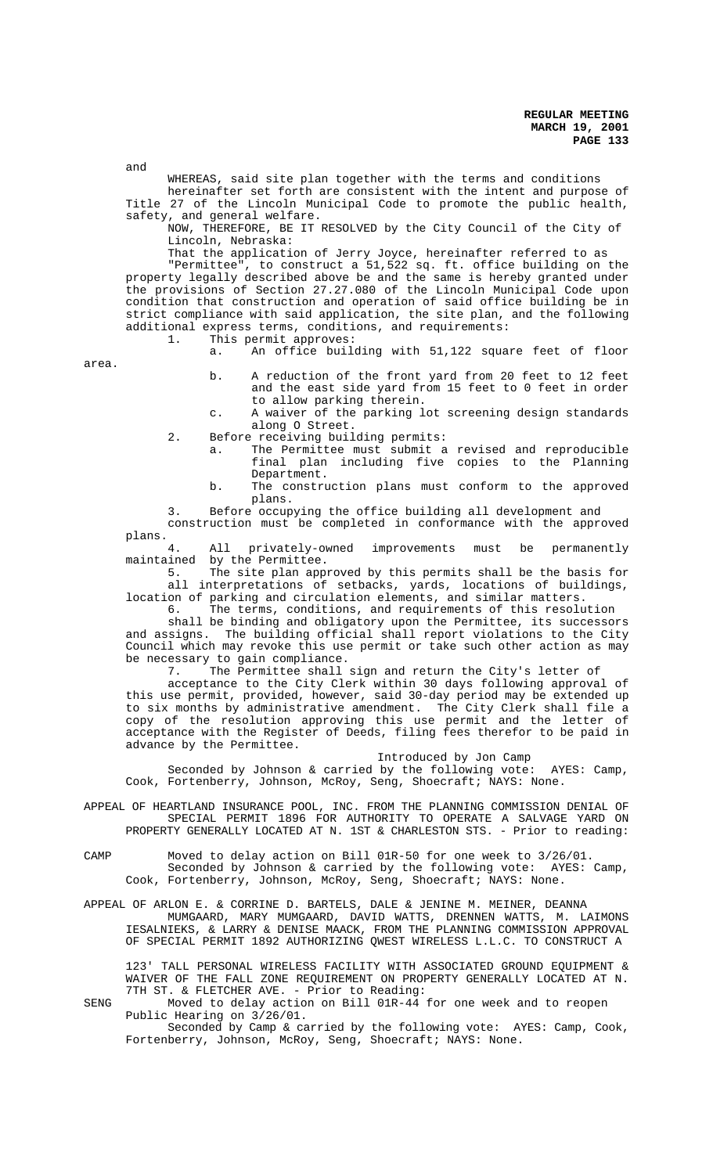and

WHEREAS, said site plan together with the terms and conditions hereinafter set forth are consistent with the intent and purpose of Title 27 of the Lincoln Municipal Code to promote the public health,

safety, and general welfare. NOW, THEREFORE, BE IT RESOLVED by the City Council of the City of

Lincoln, Nebraska:

That the application of Jerry Joyce, hereinafter referred to as

"Permittee", to construct a 51,522 sq. ft. office building on the property legally described above be and the same is hereby granted under the provisions of Section 27.27.080 of the Lincoln Municipal Code upon condition that construction and operation of said office building be in strict compliance with said application, the site plan, and the following additional express terms, conditions, and requirements:<br>1. This permit approves:

This permit approves:

a. An office building with 51,122 square feet of floor

area.

b. A reduction of the front yard from 20 feet to 12 feet and the east side yard from 15 feet to 0 feet in order to allow parking therein.

c. A waiver of the parking lot screening design standards along O Street.

- 2. Before receiving building permits:
	- a. The Permittee must submit a revised and reproducible final plan including five copies to the Planning Department.
	- b. The construction plans must conform to the approved plans.

3. Before occupying the office building all development and construction must be completed in conformance with the approved

plans.<br>4. All privately-owned improvements must be permanently maintained by the Permittee.<br>5. The site plan appro

The site plan approved by this permits shall be the basis for 3. The site from opposition of setbacks, yards, locations of buildings, location of parking and circulation elements, and similar matters.

6. The terms, conditions, and requirements of this resolution

shall be binding and obligatory upon the Permittee, its successors and assigns. The building official shall report violations to the City Council which may revoke this use permit or take such other action as may be necessary to gain compliance.

7. The Permittee shall sign and return the City's letter of

acceptance to the City Clerk within 30 days following approval of this use permit, provided, however, said 30-day period may be extended up to six months by administrative amendment. The City Clerk shall file a copy of the resolution approving this use permit and the letter of acceptance with the Register of Deeds, filing fees therefor to be paid in advance by the Permittee.

Introduced by Jon Camp

Seconded by Johnson & carried by the following vote: AYES: Camp, Cook, Fortenberry, Johnson, McRoy, Seng, Shoecraft; NAYS: None.

- APPEAL OF HEARTLAND INSURANCE POOL, INC. FROM THE PLANNING COMMISSION DENIAL OF SPECIAL PERMIT 1896 FOR AUTHORITY TO OPERATE A SALVAGE YARD ON PROPERTY GENERALLY LOCATED AT N. 1ST & CHARLESTON STS. - Prior to reading:
- CAMP Moved to delay action on Bill 01R-50 for one week to 3/26/01. Seconded by Johnson & carried by the following vote: AYES: Camp, Cook, Fortenberry, Johnson, McRoy, Seng, Shoecraft; NAYS: None.
- APPEAL OF ARLON E. & CORRINE D. BARTELS, DALE & JENINE M. MEINER, DEANNA MUMGAARD, MARY MUMGAARD, DAVID WATTS, DRENNEN WATTS, M. LAIMONS IESALNIEKS, & LARRY & DENISE MAACK, FROM THE PLANNING COMMISSION APPROVAL OF SPECIAL PERMIT 1892 AUTHORIZING QWEST WIRELESS L.L.C. TO CONSTRUCT A

123' TALL PERSONAL WIRELESS FACILITY WITH ASSOCIATED GROUND EQUIPMENT & WAIVER OF THE FALL ZONE REQUIREMENT ON PROPERTY GENERALLY LOCATED AT N. 7TH ST. & FLETCHER AVE. - Prior to Reading:

SENG Moved to delay action on Bill 01R-44 for one week and to reopen Public Hearing on 3/26/01.

Seconded by Camp & carried by the following vote: AYES: Camp, Cook, Fortenberry, Johnson, McRoy, Seng, Shoecraft; NAYS: None.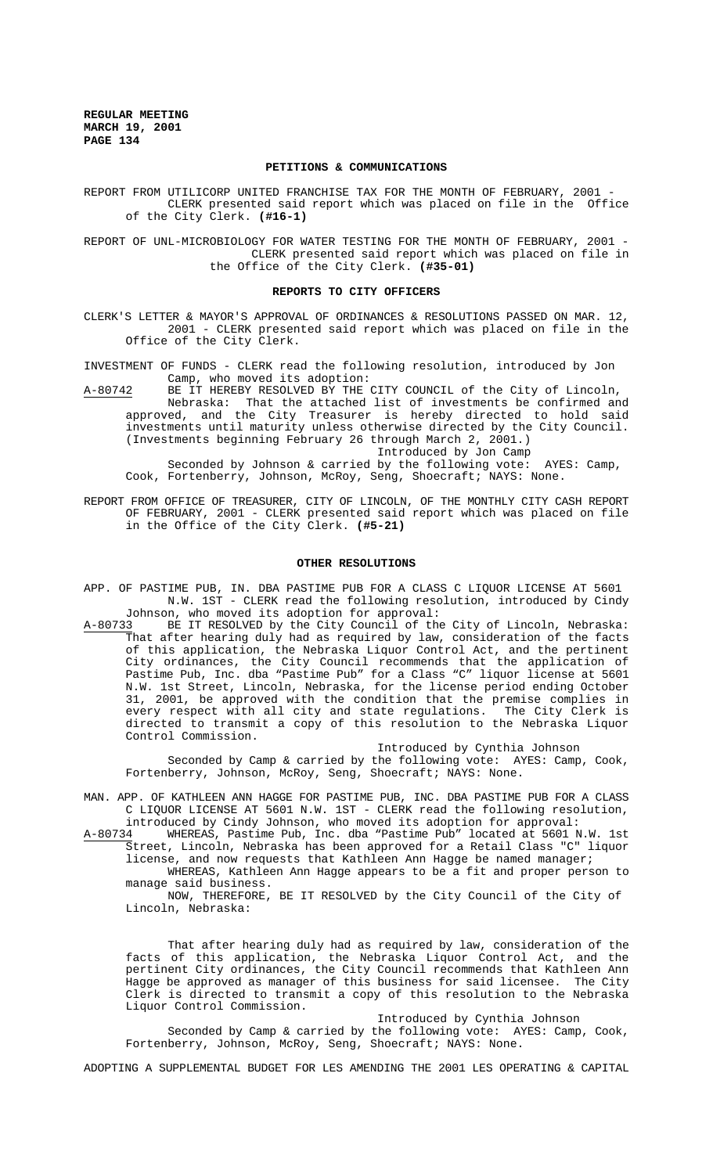## **PETITIONS & COMMUNICATIONS**

REPORT FROM UTILICORP UNITED FRANCHISE TAX FOR THE MONTH OF FEBRUARY, 2001 -CLERK presented said report which was placed on file in the Office of the City Clerk. **(#16-1)**

REPORT OF UNL-MICROBIOLOGY FOR WATER TESTING FOR THE MONTH OF FEBRUARY, 2001 - CLERK presented said report which was placed on file in the Office of the City Clerk. **(#35-01)**

#### **REPORTS TO CITY OFFICERS**

CLERK'S LETTER & MAYOR'S APPROVAL OF ORDINANCES & RESOLUTIONS PASSED ON MAR. 12, 2001 - CLERK presented said report which was placed on file in the Office of the City Clerk.

INVESTMENT OF FUNDS - CLERK read the following resolution, introduced by Jon Camp, who moved its adoption:

A-80742 BE IT HEREBY RESOLVED BY THE CITY COUNCIL of the City of Lincoln, Nebraska: That the attached list of investments be confirmed and approved, and the City Treasurer is hereby directed to hold said investments until maturity unless otherwise directed by the City Council. (Investments beginning February 26 through March 2, 2001.)

Introduced by Jon Camp

Seconded by Johnson & carried by the following vote: AYES: Camp, Cook, Fortenberry, Johnson, McRoy, Seng, Shoecraft; NAYS: None.

REPORT FROM OFFICE OF TREASURER, CITY OF LINCOLN, OF THE MONTHLY CITY CASH REPORT OF FEBRUARY, 2001 - CLERK presented said report which was placed on file in the Office of the City Clerk. **(#5-21)**

## **OTHER RESOLUTIONS**

- APP. OF PASTIME PUB, IN. DBA PASTIME PUB FOR A CLASS C LIQUOR LICENSE AT 5601 N.W. 1ST - CLERK read the following resolution, introduced by Cindy
- Johnson, who moved its adoption for approval:<br>A-80733 BE IT RESOLVED by the City Council of the BE IT RESOLVED by the City Council of the City of Lincoln, Nebraska: That after hearing duly had as required by law, consideration of the facts of this application, the Nebraska Liquor Control Act, and the pertinent City ordinances, the City Council recommends that the application of Pastime Pub, Inc. dba "Pastime Pub" for a Class "C" liquor license at 5601 N.W. 1st Street, Lincoln, Nebraska, for the license period ending October 31, 2001, be approved with the condition that the premise complies in every respect with all city and state regulations. The City Clerk is directed to transmit a copy of this resolution to the Nebraska Liquor Control Commission.

Introduced by Cynthia Johnson

Seconded by Camp & carried by the following vote: AYES: Camp, Cook, Fortenberry, Johnson, McRoy, Seng, Shoecraft; NAYS: None.

- MAN. APP. OF KATHLEEN ANN HAGGE FOR PASTIME PUB, INC. DBA PASTIME PUB FOR A CLASS C LIQUOR LICENSE AT 5601 N.W. 1ST - CLERK read the following resolution, introduced by Cindy Johnson, who moved its adoption for approval:
- A-80734 WHEREAS, Pastime Pub, Inc. dba "Pastime Pub" located at 5601 N.W. 1st Street, Lincoln, Nebraska has been approved for a Retail Class "C" liquor license, and now requests that Kathleen Ann Hagge be named manager;

WHEREAS, Kathleen Ann Hagge appears to be a fit and proper person to manage said business.

NOW, THEREFORE, BE IT RESOLVED by the City Council of the City of Lincoln, Nebraska:

That after hearing duly had as required by law, consideration of the facts of this application, the Nebraska Liquor Control Act, and the pertinent City ordinances, the City Council recommends that Kathleen Ann Hagge be approved as manager of this business for said licensee. The City Clerk is directed to transmit a copy of this resolution to the Nebraska Liquor Control Commission.

Introduced by Cynthia Johnson Seconded by Camp & carried by the following vote: AYES: Camp, Cook, Fortenberry, Johnson, McRoy, Seng, Shoecraft; NAYS: None.

ADOPTING A SUPPLEMENTAL BUDGET FOR LES AMENDING THE 2001 LES OPERATING & CAPITAL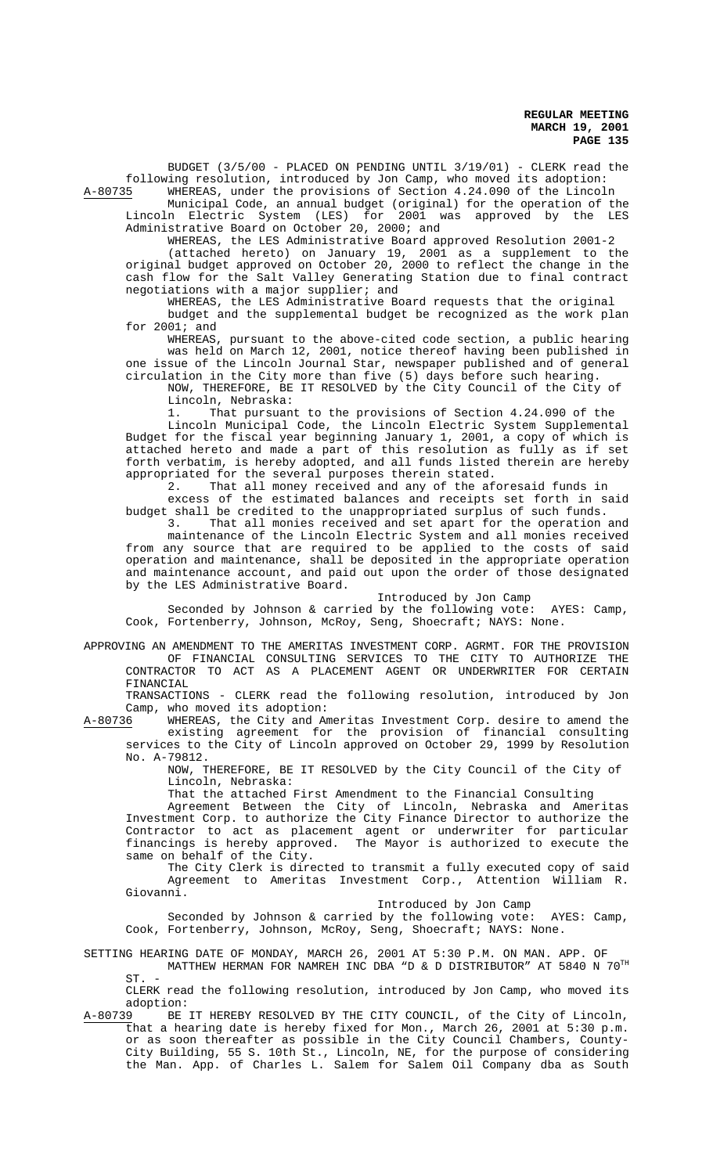BUDGET (3/5/00 - PLACED ON PENDING UNTIL 3/19/01) - CLERK read the following resolution, introduced by Jon Camp, who moved its adoption: WHEREAS, under the provisions of Section 4.24.090 of the Lincoln

Municipal Code, an annual budget (original) for the operation of the  $\frac{1}{2}$ Lincoln Electric System (LES) for 2001 was approved by the LES Administrative Board on October 20, 2000; and

WHEREAS, the LES Administrative Board approved Resolution 2001-2 (attached hereto) on January 19, 2001 as a supplement to the original budget approved on October 20, 2000 to reflect the change in the cash flow for the Salt Valley Generating Station due to final contract negotiations with a major supplier; and

WHEREAS, the LES Administrative Board requests that the original budget and the supplemental budget be recognized as the work plan for 2001; and

WHEREAS, pursuant to the above-cited code section, a public hearing was held on March 12, 2001, notice thereof having been published in one issue of the Lincoln Journal Star, newspaper published and of general circulation in the City more than five (5) days before such hearing.

NOW, THEREFORE, BE IT RESOLVED by the City Council of the City of Lincoln, Nebraska:

1. That pursuant to the provisions of Section 4.24.090 of the Lincoln Municipal Code, the Lincoln Electric System Supplemental Budget for the fiscal year beginning January 1, 2001, a copy of which is attached hereto and made a part of this resolution as fully as if set forth verbatim, is hereby adopted, and all funds listed therein are hereby appropriated for the several purposes therein stated.

2. That all money received and any of the aforesaid funds in excess of the estimated balances and receipts set forth in said budget shall be credited to the unappropriated surplus of such funds.

3. That all monies received and set apart for the operation and maintenance of the Lincoln Electric System and all monies received from any source that are required to be applied to the costs of said operation and maintenance, shall be deposited in the appropriate operation and maintenance account, and paid out upon the order of those designated by the LES Administrative Board.

Introduced by Jon Camp

Seconded by Johnson & carried by the following vote: AYES: Camp, Cook, Fortenberry, Johnson, McRoy, Seng, Shoecraft; NAYS: None.

APPROVING AN AMENDMENT TO THE AMERITAS INVESTMENT CORP. AGRMT. FOR THE PROVISION OF FINANCIAL CONSULTING SERVICES TO THE CITY TO AUTHORIZE THE CONTRACTOR TO ACT AS A PLACEMENT AGENT OR UNDERWRITER FOR CERTAIN FINANCIAL

TRANSACTIONS - CLERK read the following resolution, introduced by Jon Camp, who moved its adoption:<br>A-80736 WHEREAS, the City and Am

WHEREAS, the City and Ameritas Investment Corp. desire to amend the existing agreement for the provision of financial consulting services to the City of Lincoln approved on October 29, 1999 by Resolution No. A-79812.

NOW, THEREFORE, BE IT RESOLVED by the City Council of the City of Lincoln, Nebraska:

That the attached First Amendment to the Financial Consulting

Agreement Between the City of Lincoln, Nebraska and Ameritas Investment Corp. to authorize the City Finance Director to authorize the Contractor to act as placement agent or underwriter for particular financings is hereby approved. The Mayor is authorized to execute the same on behalf of the City.

The City Clerk is directed to transmit a fully executed copy of said Agreement to Ameritas Investment Corp., Attention William R. Giovanni.

Introduced by Jon Camp

Seconded by Johnson & carried by the following vote: AYES: Camp, Cook, Fortenberry, Johnson, McRoy, Seng, Shoecraft; NAYS: None.

SETTING HEARING DATE OF MONDAY, MARCH 26, 2001 AT 5:30 P.M. ON MAN. APP. OF MATTHEW HERMAN FOR NAMREH INC DBA "D & D DISTRIBUTOR" AT 5840 N  $70^{\text{TH}}$  $ST.$ 

CLERK read the following resolution, introduced by Jon Camp, who moved its adoption:

A-80739 BE IT HEREBY RESOLVED BY THE CITY COUNCIL, of the City of Lincoln, that a hearing date is hereby fixed for Mon., March 26, 2001 at 5:30 p.m. or as soon thereafter as possible in the City Council Chambers, County-City Building, 55 S. 10th St., Lincoln, NE, for the purpose of considering the Man. App. of Charles L. Salem for Salem Oil Company dba as South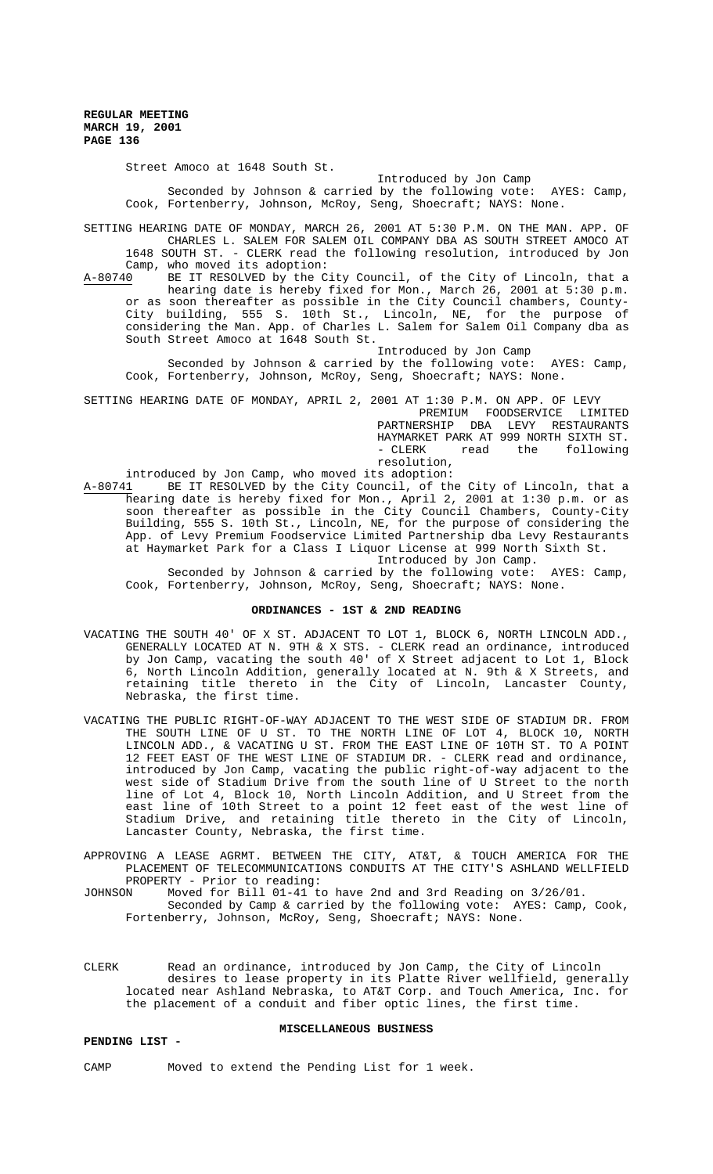Street Amoco at 1648 South St.

### Introduced by Jon Camp

Seconded by Johnson & carried by the following vote: AYES: Camp, Cook, Fortenberry, Johnson, McRoy, Seng, Shoecraft; NAYS: None.

SETTING HEARING DATE OF MONDAY, MARCH 26, 2001 AT 5:30 P.M. ON THE MAN. APP. OF CHARLES L. SALEM FOR SALEM OIL COMPANY DBA AS SOUTH STREET AMOCO AT 1648 SOUTH ST. - CLERK read the following resolution, introduced by Jon Camp, who moved its adoption:<br>A-80740 BE IT RESOLVED by the C:

BE IT RESOLVED by the City Council, of the City of Lincoln, that a hearing date is hereby fixed for Mon., March 26, 2001 at 5:30 p.m. or as soon thereafter as possible in the City Council chambers, County-City building, 555 S. 10th St., Lincoln, NE, for the purpose of considering the Man. App. of Charles L. Salem for Salem Oil Company dba as South Street Amoco at 1648 South St.

Introduced by Jon Camp

Seconded by Johnson & carried by the following vote: AYES: Camp, Cook, Fortenberry, Johnson, McRoy, Seng, Shoecraft; NAYS: None.

SETTING HEARING DATE OF MONDAY, APRIL 2, 2001 AT 1:30 P.M. ON APP. OF LEVY

PREMIUM FOODSERVICE LIMITED PARTNERSHIP DBA LEVY RESTAURANTS HAYMARKET PARK AT 999 NORTH SIXTH ST. - CLERK read the following resolution,

introduced by Jon Camp, who moved its adoption:<br>A-80741 BE IT RESOLVED by the City Council. of th

A-80741 BE IT RESOLVED by the City Council, of the City of Lincoln, that a hearing date is hereby fixed for Mon., April 2, 2001 at 1:30 p.m. or as soon thereafter as possible in the City Council Chambers, County-City Building, 555 S. 10th St., Lincoln, NE, for the purpose of considering the App. of Levy Premium Foodservice Limited Partnership dba Levy Restaurants at Haymarket Park for a Class I Liquor License at 999 North Sixth St. Introduced by Jon Camp.

Seconded by Johnson & carried by the following vote: AYES: Camp, Cook, Fortenberry, Johnson, McRoy, Seng, Shoecraft; NAYS: None.

## **ORDINANCES - 1ST & 2ND READING**

- VACATING THE SOUTH 40' OF X ST. ADJACENT TO LOT 1, BLOCK 6, NORTH LINCOLN ADD., GENERALLY LOCATED AT N. 9TH & X STS. - CLERK read an ordinance, introduced by Jon Camp, vacating the south 40' of X Street adjacent to Lot 1, Block 6, North Lincoln Addition, generally located at N. 9th & X Streets, and retaining title thereto in the City of Lincoln, Lancaster County, Nebraska, the first time.
- VACATING THE PUBLIC RIGHT-OF-WAY ADJACENT TO THE WEST SIDE OF STADIUM DR. FROM THE SOUTH LINE OF U ST. TO THE NORTH LINE OF LOT 4, BLOCK 10, NORTH LINCOLN ADD., & VACATING U ST. FROM THE EAST LINE OF 10TH ST. TO A POINT 12 FEET EAST OF THE WEST LINE OF STADIUM DR. - CLERK read and ordinance, introduced by Jon Camp, vacating the public right-of-way adjacent to the west side of Stadium Drive from the south line of U Street to the north line of Lot 4, Block 10, North Lincoln Addition, and U Street from the east line of 10th Street to a point 12 feet east of the west line of Stadium Drive, and retaining title thereto in the City of Lincoln, Lancaster County, Nebraska, the first time.
- APPROVING A LEASE AGRMT. BETWEEN THE CITY, AT&T, & TOUCH AMERICA FOR THE PLACEMENT OF TELECOMMUNICATIONS CONDUITS AT THE CITY'S ASHLAND WELLFIELD PROPERTY - Prior to reading:
- JOHNSON Moved for Bill 01-41 to have 2nd and 3rd Reading on 3/26/01. Seconded by Camp & carried by the following vote: AYES: Camp, Cook, Fortenberry, Johnson, McRoy, Seng, Shoecraft; NAYS: None.
- CLERK Read an ordinance, introduced by Jon Camp, the City of Lincoln desires to lease property in its Platte River wellfield, generally located near Ashland Nebraska, to AT&T Corp. and Touch America, Inc. for the placement of a conduit and fiber optic lines, the first time.

## **MISCELLANEOUS BUSINESS**

### **PENDING LIST -**

CAMP Moved to extend the Pending List for 1 week.